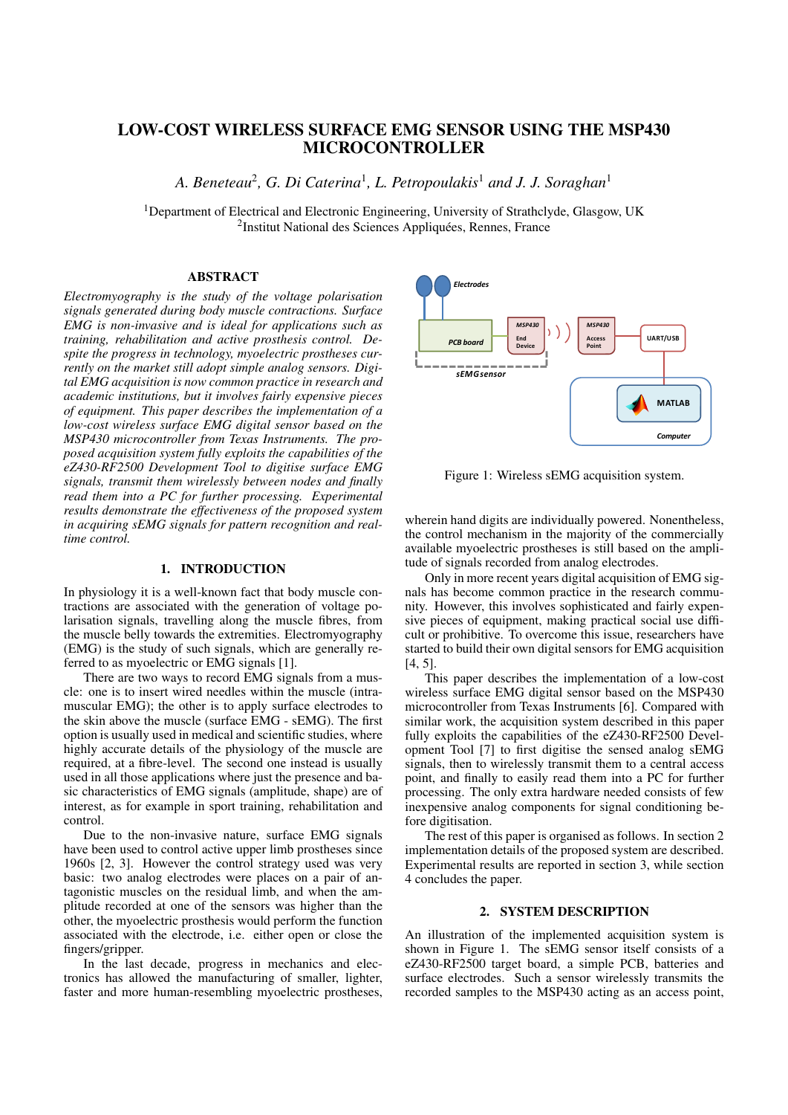# LOW-COST WIRELESS SURFACE EMG SENSOR USING THE MSP430 MICROCONTROLLER

*A. Beneteau*<sup>2</sup> *, G. Di Caterina*<sup>1</sup> *, L. Petropoulakis*<sup>1</sup> *and J. J. Soraghan*<sup>1</sup>

<sup>1</sup>Department of Electrical and Electronic Engineering, University of Strathclyde, Glasgow, UK <sup>2</sup>Institut National des Sciences Appliquées, Rennes, France

#### ABSTRACT

*Electromyography is the study of the voltage polarisation signals generated during body muscle contractions. Surface EMG is non-invasive and is ideal for applications such as training, rehabilitation and active prosthesis control. Despite the progress in technology, myoelectric prostheses currently on the market still adopt simple analog sensors. Digital EMG acquisition is now common practice in research and academic institutions, but it involves fairly expensive pieces of equipment. This paper describes the implementation of a low-cost wireless surface EMG digital sensor based on the MSP430 microcontroller from Texas Instruments. The proposed acquisition system fully exploits the capabilities of the eZ430-RF2500 Development Tool to digitise surface EMG signals, transmit them wirelessly between nodes and finally read them into a PC for further processing. Experimental results demonstrate the effectiveness of the proposed system in acquiring sEMG signals for pattern recognition and realtime control.*

## 1. INTRODUCTION

In physiology it is a well-known fact that body muscle contractions are associated with the generation of voltage polarisation signals, travelling along the muscle fibres, from the muscle belly towards the extremities. Electromyography (EMG) is the study of such signals, which are generally referred to as myoelectric or EMG signals [1].

There are two ways to record EMG signals from a muscle: one is to insert wired needles within the muscle (intramuscular EMG); the other is to apply surface electrodes to the skin above the muscle (surface EMG - sEMG). The first option is usually used in medical and scientific studies, where highly accurate details of the physiology of the muscle are required, at a fibre-level. The second one instead is usually used in all those applications where just the presence and basic characteristics of EMG signals (amplitude, shape) are of interest, as for example in sport training, rehabilitation and control.

Due to the non-invasive nature, surface EMG signals have been used to control active upper limb prostheses since 1960s [2, 3]. However the control strategy used was very basic: two analog electrodes were places on a pair of antagonistic muscles on the residual limb, and when the amplitude recorded at one of the sensors was higher than the other, the myoelectric prosthesis would perform the function associated with the electrode, i.e. either open or close the fingers/gripper.

In the last decade, progress in mechanics and electronics has allowed the manufacturing of smaller, lighter, faster and more human-resembling myoelectric prostheses,



Figure 1: Wireless sEMG acquisition system.

wherein hand digits are individually powered. Nonentheless, the control mechanism in the majority of the commercially available myoelectric prostheses is still based on the amplitude of signals recorded from analog electrodes.

Only in more recent years digital acquisition of EMG signals has become common practice in the research community. However, this involves sophisticated and fairly expensive pieces of equipment, making practical social use difficult or prohibitive. To overcome this issue, researchers have started to build their own digital sensors for EMG acquisition [4, 5].

This paper describes the implementation of a low-cost wireless surface EMG digital sensor based on the MSP430 microcontroller from Texas Instruments [6]. Compared with similar work, the acquisition system described in this paper fully exploits the capabilities of the eZ430-RF2500 Development Tool [7] to first digitise the sensed analog sEMG signals, then to wirelessly transmit them to a central access point, and finally to easily read them into a PC for further processing. The only extra hardware needed consists of few inexpensive analog components for signal conditioning before digitisation.

The rest of this paper is organised as follows. In section 2 implementation details of the proposed system are described. Experimental results are reported in section 3, while section 4 concludes the paper.

# 2. SYSTEM DESCRIPTION

An illustration of the implemented acquisition system is shown in Figure 1. The sEMG sensor itself consists of a eZ430-RF2500 target board, a simple PCB, batteries and surface electrodes. Such a sensor wirelessly transmits the recorded samples to the MSP430 acting as an access point,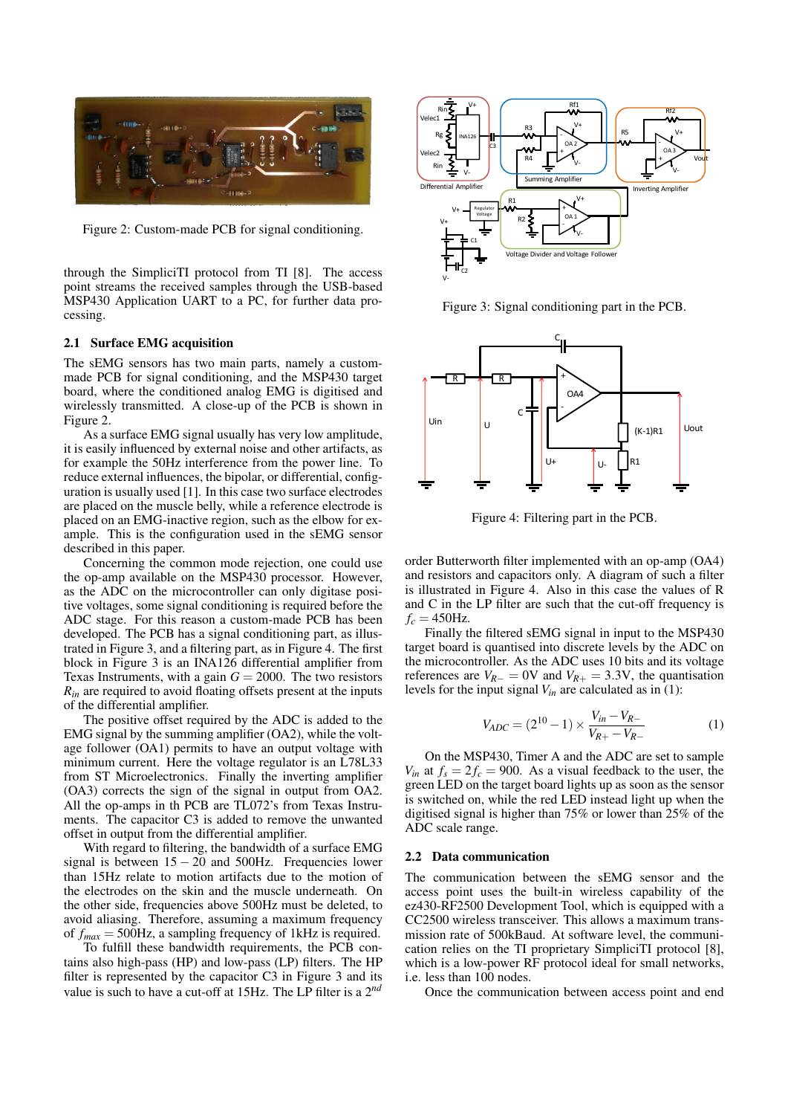

Figure 2: Custom-made PCB for signal conditioning.

through the SimpliciTI protocol from TI [8]. The access point streams the received samples through the USB-based MSP430 Application UART to a PC, for further data processing.

### 2.1 Surface EMG acquisition

The sEMG sensors has two main parts, namely a custommade PCB for signal conditioning, and the MSP430 target board, where the conditioned analog EMG is digitised and wirelessly transmitted. A close-up of the PCB is shown in Figure 2.

As a surface EMG signal usually has very low amplitude, it is easily influenced by external noise and other artifacts, as for example the 50Hz interference from the power line. To reduce external influences, the bipolar, or differential, configuration is usually used [1]. In this case two surface electrodes are placed on the muscle belly, while a reference electrode is placed on an EMG-inactive region, such as the elbow for example. This is the configuration used in the sEMG sensor described in this paper.

Concerning the common mode rejection, one could use the op-amp available on the MSP430 processor. However, as the ADC on the microcontroller can only digitase positive voltages, some signal conditioning is required before the ADC stage. For this reason a custom-made PCB has been developed. The PCB has a signal conditioning part, as illustrated in Figure 3, and a filtering part, as in Figure 4. The first block in Figure 3 is an INA126 differential amplifier from Texas Instruments, with a gain  $G = 2000$ . The two resistors  $R_{in}$  are required to avoid floating offsets present at the inputs of the differential amplifier.

The positive offset required by the ADC is added to the EMG signal by the summing amplifier (OA2), while the voltage follower (OA1) permits to have an output voltage with minimum current. Here the voltage regulator is an L78L33 from ST Microelectronics. Finally the inverting amplifier (OA3) corrects the sign of the signal in output from OA2. All the op-amps in th PCB are TL072's from Texas Instruments. The capacitor C3 is added to remove the unwanted offset in output from the differential amplifier.

With regard to filtering, the bandwidth of a surface EMG signal is between  $15 - 20$  and  $500$ Hz. Frequencies lower than 15Hz relate to motion artifacts due to the motion of the electrodes on the skin and the muscle underneath. On the other side, frequencies above 500Hz must be deleted, to avoid aliasing. Therefore, assuming a maximum frequency of *fmax* = 500Hz, a sampling frequency of 1kHz is required.

To fulfill these bandwidth requirements, the PCB contains also high-pass (HP) and low-pass (LP) filters. The HP filter is represented by the capacitor C3 in Figure 3 and its value is such to have a cut-off at 15Hz. The LP filter is a 2*nd*



Figure 3: Signal conditioning part in the PCB.



Figure 4: Filtering part in the PCB.

order Butterworth filter implemented with an op-amp (OA4) and resistors and capacitors only. A diagram of such a filter is illustrated in Figure 4. Also in this case the values of R and C in the LP filter are such that the cut-off frequency is  $f_c = 450$ Hz.

Finally the filtered sEMG signal in input to the MSP430 target board is quantised into discrete levels by the ADC on the microcontroller. As the ADC uses 10 bits and its voltage references are  $V_{R-} = 0$ V and  $V_{R+} = 3.3$ V, the quantisation levels for the input signal *Vin* are calculated as in (1):

$$
V_{ADC} = (2^{10} - 1) \times \frac{V_{in} - V_{R-}}{V_{R+} - V_{R-}}
$$
 (1)

On the MSP430, Timer A and the ADC are set to sample  $V_{in}$  at  $f_s = 2f_c = 900$ . As a visual feedback to the user, the green LED on the target board lights up as soon as the sensor is switched on, while the red LED instead light up when the digitised signal is higher than 75% or lower than 25% of the ADC scale range.

#### 2.2 Data communication

The communication between the sEMG sensor and the access point uses the built-in wireless capability of the ez430-RF2500 Development Tool, which is equipped with a CC2500 wireless transceiver. This allows a maximum transmission rate of 500kBaud. At software level, the communication relies on the TI proprietary SimpliciTI protocol [8], which is a low-power RF protocol ideal for small networks, i.e. less than 100 nodes.

Once the communication between access point and end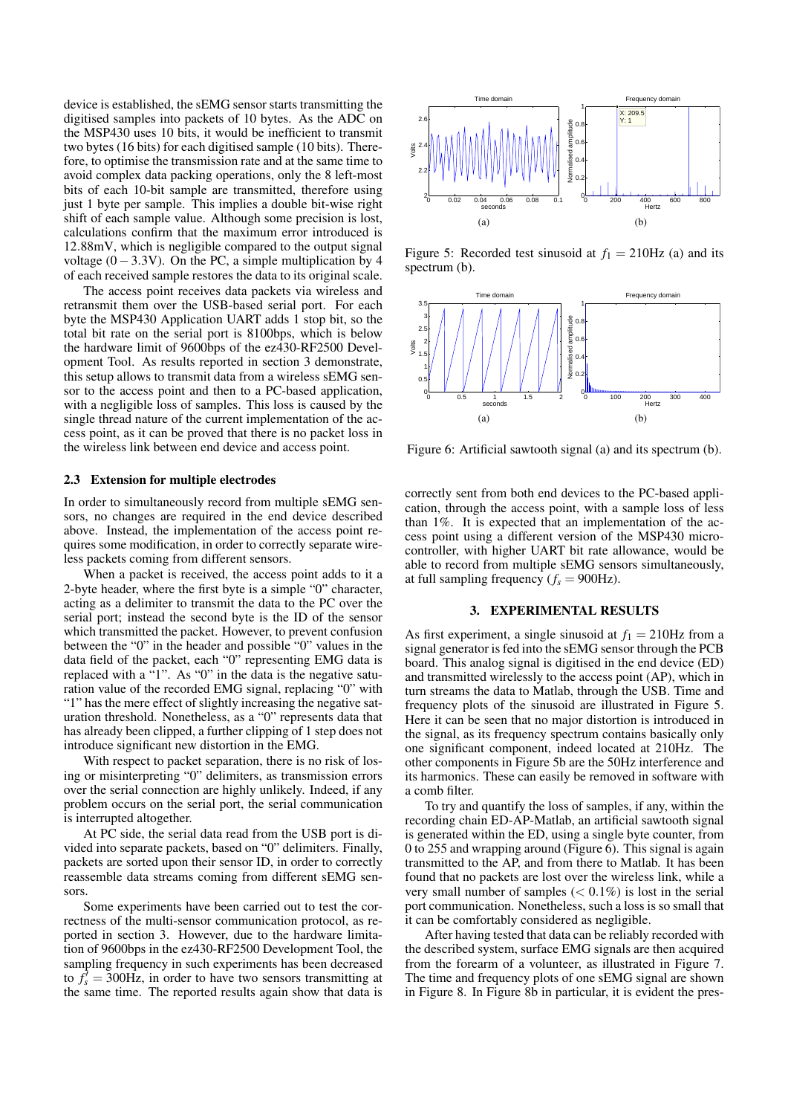device is established, the sEMG sensor starts transmitting the digitised samples into packets of 10 bytes. As the ADC on the MSP430 uses 10 bits, it would be inefficient to transmit two bytes (16 bits) for each digitised sample (10 bits). Therefore, to optimise the transmission rate and at the same time to avoid complex data packing operations, only the 8 left-most bits of each 10-bit sample are transmitted, therefore using just 1 byte per sample. This implies a double bit-wise right shift of each sample value. Although some precision is lost, calculations confirm that the maximum error introduced is 12.88mV, which is negligible compared to the output signal voltage  $(0-3.3V)$ . On the PC, a simple multiplication by 4 of each received sample restores the data to its original scale.

The access point receives data packets via wireless and retransmit them over the USB-based serial port. For each byte the MSP430 Application UART adds 1 stop bit, so the total bit rate on the serial port is 8100bps, which is below the hardware limit of 9600bps of the ez430-RF2500 Development Tool. As results reported in section 3 demonstrate, this setup allows to transmit data from a wireless sEMG sensor to the access point and then to a PC-based application, with a negligible loss of samples. This loss is caused by the single thread nature of the current implementation of the access point, as it can be proved that there is no packet loss in the wireless link between end device and access point.

#### 2.3 Extension for multiple electrodes

In order to simultaneously record from multiple sEMG sensors, no changes are required in the end device described above. Instead, the implementation of the access point requires some modification, in order to correctly separate wireless packets coming from different sensors.

When a packet is received, the access point adds to it a 2-byte header, where the first byte is a simple "0" character, acting as a delimiter to transmit the data to the PC over the serial port; instead the second byte is the ID of the sensor which transmitted the packet. However, to prevent confusion between the "0" in the header and possible "0" values in the data field of the packet, each "0" representing EMG data is replaced with a "1". As "0" in the data is the negative saturation value of the recorded EMG signal, replacing "0" with "1" has the mere effect of slightly increasing the negative saturation threshold. Nonetheless, as a "0" represents data that has already been clipped, a further clipping of 1 step does not introduce significant new distortion in the EMG.

With respect to packet separation, there is no risk of losing or misinterpreting "0" delimiters, as transmission errors over the serial connection are highly unlikely. Indeed, if any problem occurs on the serial port, the serial communication is interrupted altogether.

At PC side, the serial data read from the USB port is divided into separate packets, based on "0" delimiters. Finally, packets are sorted upon their sensor ID, in order to correctly reassemble data streams coming from different sEMG sensors.

Some experiments have been carried out to test the correctness of the multi-sensor communication protocol, as reported in section 3. However, due to the hardware limitation of 9600bps in the ez430-RF2500 Development Tool, the sampling frequency in such experiments has been decreased to  $f_s^j = 300$ Hz, in order to have two sensors transmitting at the same time. The reported results again show that data is



Figure 5: Recorded test sinusoid at  $f_1 = 210$ Hz (a) and its spectrum (b).



Figure 6: Artificial sawtooth signal (a) and its spectrum (b).

correctly sent from both end devices to the PC-based application, through the access point, with a sample loss of less than 1%. It is expected that an implementation of the access point using a different version of the MSP430 microcontroller, with higher UART bit rate allowance, would be able to record from multiple sEMG sensors simultaneously, at full sampling frequency  $(f_s = 900 \text{ Hz})$ .

### 3. EXPERIMENTAL RESULTS

As first experiment, a single sinusoid at  $f_1 = 210$ Hz from a signal generator is fed into the sEMG sensor through the PCB board. This analog signal is digitised in the end device (ED) and transmitted wirelessly to the access point (AP), which in turn streams the data to Matlab, through the USB. Time and frequency plots of the sinusoid are illustrated in Figure 5. Here it can be seen that no major distortion is introduced in the signal, as its frequency spectrum contains basically only one significant component, indeed located at 210Hz. The other components in Figure 5b are the 50Hz interference and its harmonics. These can easily be removed in software with a comb filter.

To try and quantify the loss of samples, if any, within the recording chain ED-AP-Matlab, an artificial sawtooth signal is generated within the ED, using a single byte counter, from 0 to 255 and wrapping around (Figure 6). This signal is again transmitted to the AP, and from there to Matlab. It has been found that no packets are lost over the wireless link, while a very small number of samples  $(< 0.1\%)$  is lost in the serial port communication. Nonetheless, such a loss is so small that it can be comfortably considered as negligible.

After having tested that data can be reliably recorded with the described system, surface EMG signals are then acquired from the forearm of a volunteer, as illustrated in Figure 7. The time and frequency plots of one sEMG signal are shown in Figure 8. In Figure 8b in particular, it is evident the pres-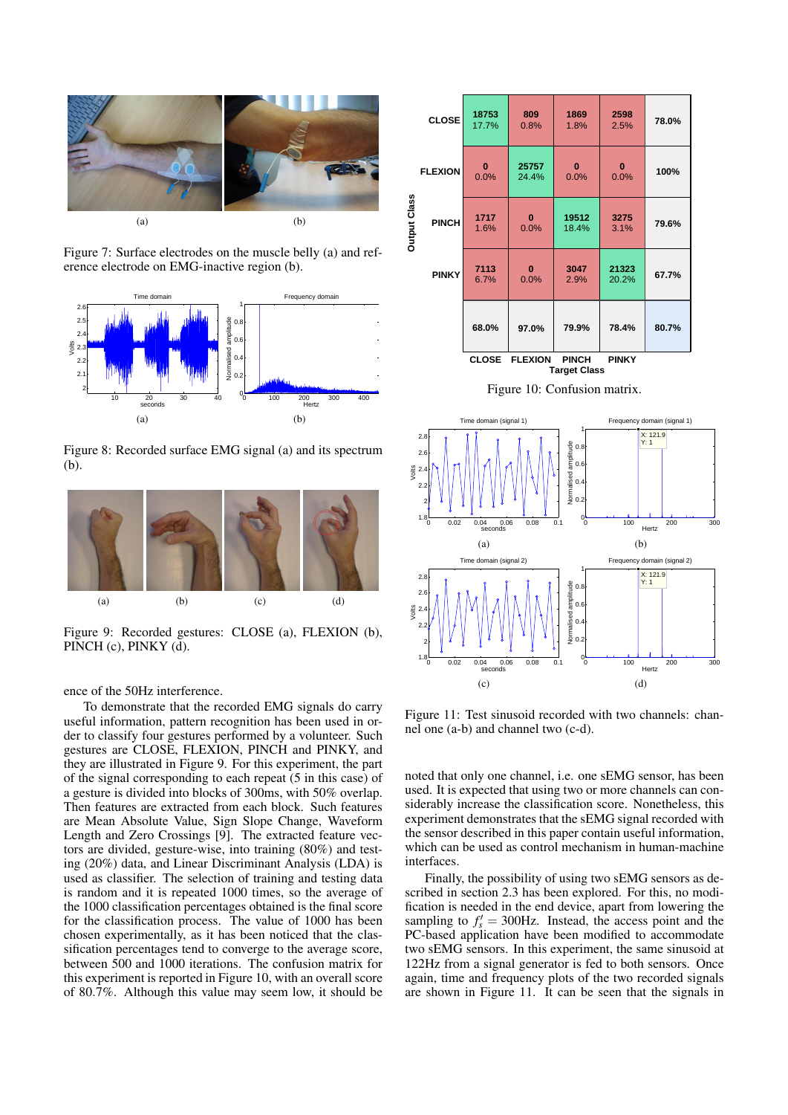

Figure 7: Surface electrodes on the muscle belly (a) and reference electrode on EMG-inactive region (b).



Figure 8: Recorded surface EMG signal (a) and its spectrum (b).



Figure 9: Recorded gestures: CLOSE (a), FLEXION (b), PINCH (c), PINKY (d).

ence of the 50Hz interference.

To demonstrate that the recorded EMG signals do carry useful information, pattern recognition has been used in order to classify four gestures performed by a volunteer. Such gestures are CLOSE, FLEXION, PINCH and PINKY, and they are illustrated in Figure 9. For this experiment, the part of the signal corresponding to each repeat (5 in this case) of a gesture is divided into blocks of 300ms, with 50% overlap. Then features are extracted from each block. Such features are Mean Absolute Value, Sign Slope Change, Waveform Length and Zero Crossings [9]. The extracted feature vectors are divided, gesture-wise, into training (80%) and testing (20%) data, and Linear Discriminant Analysis (LDA) is used as classifier. The selection of training and testing data is random and it is repeated 1000 times, so the average of the 1000 classification percentages obtained is the final score for the classification process. The value of 1000 has been chosen experimentally, as it has been noticed that the classification percentages tend to converge to the average score, between 500 and 1000 iterations. The confusion matrix for this experiment is reported in Figure 10, with an overall score of 80.7%. Although this value may seem low, it should be



Figure 10: Confusion matrix.



Figure 11: Test sinusoid recorded with two channels: channel one (a-b) and channel two (c-d).

noted that only one channel, i.e. one sEMG sensor, has been used. It is expected that using two or more channels can considerably increase the classification score. Nonetheless, this experiment demonstrates that the sEMG signal recorded with the sensor described in this paper contain useful information, which can be used as control mechanism in human-machine interfaces.

Finally, the possibility of using two sEMG sensors as described in section 2.3 has been explored. For this, no modification is needed in the end device, apart from lowering the sampling to  $f'_{s} = 300$ Hz. Instead, the access point and the PC-based application have been modified to accommodate two sEMG sensors. In this experiment, the same sinusoid at 122Hz from a signal generator is fed to both sensors. Once again, time and frequency plots of the two recorded signals are shown in Figure 11. It can be seen that the signals in